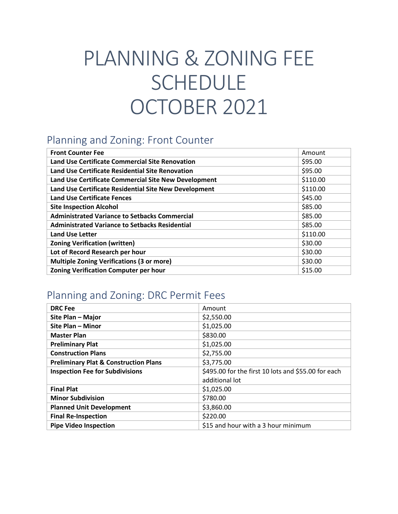# PLANNING & ZONING FEE **SCHEDULE** OCTOBER 2021

#### Planning and Zoning: Front Counter

| <b>Front Counter Fee</b>                              | Amount   |
|-------------------------------------------------------|----------|
| Land Use Certificate Commercial Site Renovation       | \$95.00  |
| Land Use Certificate Residential Site Renovation      | \$95.00  |
| Land Use Certificate Commercial Site New Development  | \$110.00 |
| Land Use Certificate Residential Site New Development | \$110.00 |
| <b>Land Use Certificate Fences</b>                    | \$45.00  |
| <b>Site Inspection Alcohol</b>                        | \$85.00  |
| <b>Administrated Variance to Setbacks Commercial</b>  | \$85.00  |
| <b>Administrated Variance to Setbacks Residential</b> | \$85.00  |
| <b>Land Use Letter</b>                                | \$110.00 |
| <b>Zoning Verification (written)</b>                  | \$30.00  |
| Lot of Record Research per hour                       | \$30.00  |
| <b>Multiple Zoning Verifications (3 or more)</b>      | \$30.00  |
| <b>Zoning Verification Computer per hour</b>          | \$15.00  |

### Planning and Zoning: DRC Permit Fees

| <b>DRC</b> Fee                                   | Amount                                              |
|--------------------------------------------------|-----------------------------------------------------|
| Site Plan - Major                                | \$2,550.00                                          |
| Site Plan - Minor                                | \$1,025.00                                          |
| <b>Master Plan</b>                               | \$830.00                                            |
| <b>Preliminary Plat</b>                          | \$1,025.00                                          |
| <b>Construction Plans</b>                        | \$2,755.00                                          |
| <b>Preliminary Plat &amp; Construction Plans</b> | \$3,775.00                                          |
| <b>Inspection Fee for Subdivisions</b>           | \$495.00 for the first 10 lots and \$55.00 for each |
|                                                  | additional lot                                      |
| <b>Final Plat</b>                                | \$1,025.00                                          |
| <b>Minor Subdivision</b>                         | \$780.00                                            |
| <b>Planned Unit Development</b>                  | \$3,860.00                                          |
| <b>Final Re-Inspection</b>                       | \$220.00                                            |
| <b>Pipe Video Inspection</b>                     | \$15 and hour with a 3 hour minimum                 |